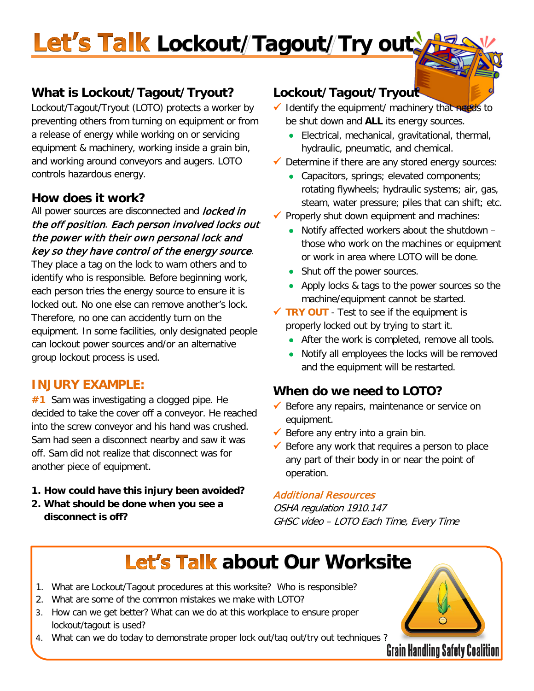# Let's Talk Lockout/Tagout/Try out

### **What is Lockout/Tagout/Tryout?**

Lockout/Tagout/Tryout (LOTO) protects a worker by preventing others from turning on equipment or from a release of energy while working on or servicing equipment & machinery, working inside a grain bin, and working around conveyors and augers. LOTO controls hazardous energy.

### **How does it work?**

All power sources are disconnected and *locked in* the off position. Each person involved locks out the power with their own personal lock and key so they have control of the energy source.

They place a tag on the lock to warn others and to identify who is responsible. Before beginning work, each person tries the energy source to ensure it is locked out. No one else can remove another's lock. Therefore, no one can accidently turn on the equipment. In some facilities, only designated people can lockout power sources and/or an alternative group lockout process is used.

#### **INJURY EXAMPLE:**

**#1** Sam was investigating a clogged pipe. He decided to take the cover off a conveyor. He reached into the screw conveyor and his hand was crushed. Sam had seen a disconnect nearby and saw it was off. Sam did not realize that disconnect was for another piece of equipment.

- **1. How could have this injury been avoided?**
- **2. What should be done when you see a disconnect is off?**

### **Lockout/Tagout/Tryout**

- $\checkmark$  Identify the equipment/ machinery that needs to be shut down and **ALL** its energy sources.
	- Electrical, mechanical, gravitational, thermal, hydraulic, pneumatic, and chemical.
- $\checkmark$  Determine if there are any stored energy sources:
	- Capacitors, springs; elevated components; rotating flywheels; hydraulic systems; air, gas, steam, water pressure; piles that can shift; etc.
- $\checkmark$  Properly shut down equipment and machines:
	- Notify affected workers about the shutdown those who work on the machines or equipment or work in area where LOTO will be done.
	- Shut off the power sources.
	- Apply locks & tags to the power sources so the machine/equipment cannot be started.
- **TRY OUT** Test to see if the equipment is properly locked out by trying to start it.
	- After the work is completed, remove all tools.
	- Notify all employees the locks will be removed and the equipment will be restarted.

### **When do we need to LOTO?**

- $\checkmark$  Before any repairs, maintenance or service on equipment.
- Before any entry into a grain bin.
- $\checkmark$  Before any work that requires a person to place any part of their body in or near the point of operation.

#### Additional Resources

OSHA regulation 1910.147 GHSC video – LOTO Each Time, Every Time

### **Let's Talk about Our Worksite**

- 1. What are Lockout/Tagout procedures at this worksite? Who is responsible?
- 2. What are some of the common mistakes we make with LOTO?
- 3. How can we get better? What can we do at this workplace to ensure proper lockout/tagout is used?
- 4. What can we do today to demonstrate proper lock out/tag out/try out techniques ?<br>**Grain Handling Safety Coalition**